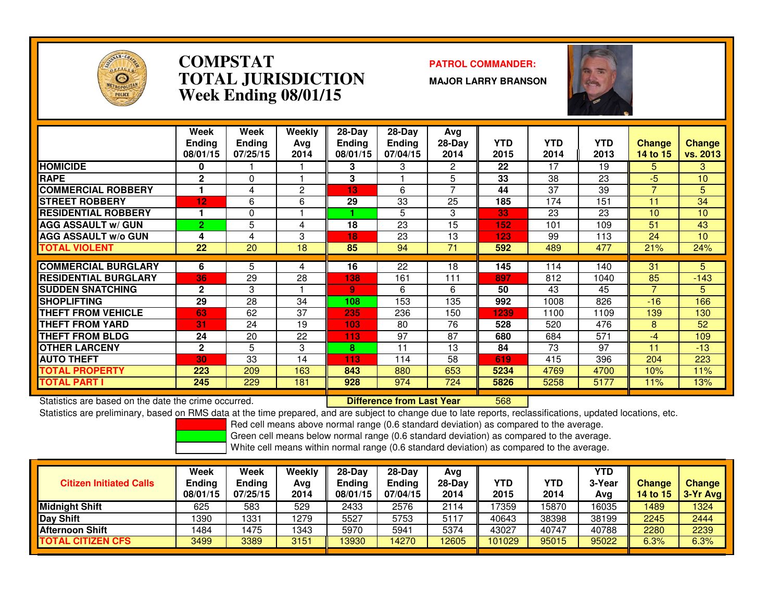

### **COMPSTAT PATROL COMMANDER: TOTAL JURISDICTIONWeek Ending 08/01/15**

**MAJOR LARRY BRANSON**



|                             | Week<br><b>Ending</b><br>08/01/15 | Week<br><b>Ending</b><br>07/25/15 | Weekly<br>Ava<br>2014 | 28-Day<br><b>Ending</b><br>08/01/15 | $28-Day$<br><b>Ending</b><br>07/04/15 | Avg<br>$28-Day$<br>2014 | <b>YTD</b><br>2015 | <b>YTD</b><br>2014 | <b>YTD</b><br>2013 | <b>Change</b><br>14 to 15 | <b>Change</b><br>vs. 2013 |
|-----------------------------|-----------------------------------|-----------------------------------|-----------------------|-------------------------------------|---------------------------------------|-------------------------|--------------------|--------------------|--------------------|---------------------------|---------------------------|
| <b>HOMICIDE</b>             | 0                                 |                                   |                       | 3                                   | 3                                     | 2                       | 22                 | 17                 | 19                 | 5.                        | 3                         |
| <b>RAPE</b>                 | $\mathbf{2}$                      | $\Omega$                          |                       | 3                                   |                                       | 5                       | 33                 | 38                 | 23                 | $-5$                      | 10                        |
| <b>COMMERCIAL ROBBERY</b>   |                                   | 4                                 | 2                     | 13                                  | 6                                     | 7                       | 44                 | 37                 | 39                 | 7                         | 5                         |
| <b>STREET ROBBERY</b>       | 12                                | 6                                 | 6                     | 29                                  | 33                                    | 25                      | 185                | 174                | 151                | 11                        | 34                        |
| <b>RESIDENTIAL ROBBERY</b>  |                                   | 0                                 |                       |                                     | 5                                     | 3                       | 33                 | 23                 | 23                 | 10                        | 10                        |
| <b>AGG ASSAULT w/ GUN</b>   | $\overline{2}$                    | 5                                 | 4                     | 18                                  | 23                                    | 15                      | 152                | 101                | 109                | 51                        | 43                        |
| <b>AGG ASSAULT w/o GUN</b>  | 4                                 | 4                                 | 3                     | 18                                  | 23                                    | 13                      | 123                | 99                 | 113                | 24                        | 10                        |
| TOTAL VIOLENT               | 22                                | 20                                | 18                    | 85                                  | 94                                    | 71                      | 592                | 489                | 477                | 21%                       | 24%                       |
|                             |                                   |                                   |                       |                                     |                                       |                         |                    |                    |                    |                           |                           |
| <b>COMMERCIAL BURGLARY</b>  | 6                                 | 5                                 | 4                     | 16                                  | 22                                    | 18                      | 145                | 114                | 140                | 31                        | 5                         |
| <b>RESIDENTIAL BURGLARY</b> | 36                                | 29                                | 28                    | 138                                 | 161                                   | 111                     | 897                | 812                | 1040               | 85                        | $-143$                    |
| <b>ISUDDEN SNATCHING</b>    | $\mathbf{2}$                      | 3                                 |                       | 9                                   | 6                                     | 6                       | 50                 | 43                 | 45                 |                           | 5                         |
| <b>SHOPLIFTING</b>          | 29                                | 28                                | 34                    | 108                                 | 153                                   | 135                     | 992                | 1008               | 826                | $-16$                     | 166                       |
| THEFT FROM VEHICLE          | 63                                | 62                                | 37                    | 235                                 | 236                                   | 150                     | 1239               | 1100               | 1109               | 139                       | 130                       |
| <b>THEFT FROM YARD</b>      | 31                                | 24                                | 19                    | 103                                 | 80                                    | 76                      | 528                | 520                | 476                | 8                         | 52                        |
| THEFT FROM BLDG             | 24                                | 20                                | 22                    | 113                                 | 97                                    | 87                      | 680                | 684                | 571                | $-4$                      | 109                       |
| <b>OTHER LARCENY</b>        | $\mathbf{2}$                      | 5                                 | 3                     | 8                                   | 11                                    | 13                      | 84                 | 73                 | 97                 | 11                        | $-13$                     |
| <b>AUTO THEFT</b>           | 30                                | 33                                | 14                    | 113                                 | 114                                   | 58                      | 619                | 415                | 396                | 204                       | 223                       |
| <b>TOTAL PROPERTY</b>       | 223                               | 209                               | 163                   | 843                                 | 880                                   | 653                     | 5234               | 4769               | 4700               | 10%                       | 11%                       |
| TOTAL PART I                | 245                               | 229                               | 181                   | 928                                 | 974                                   | 724                     | 5826               | 5258               | 5177               | 11%                       | 13%                       |

Statistics are based on the date the crime occurred. **Difference from Last Year** 

<sup>568</sup>

 Statistics are preliminary, based on RMS data at the time prepared, and are subject to change due to late reports, reclassifications, updated locations, etc.Red cell means above normal range (0.6 standard deviation) as compared to the average.

Green cell means below normal range (0.6 standard deviation) as compared to the average.

| <b>Citizen Initiated Calls</b> | Week<br>Ending<br>08/01/15 | <b>Week</b><br>Ending<br>07/25/15 | Weekly<br>Avg<br>2014 | 28-Dav<br>Ending<br>08/01/15 | $28-Dav$<br><b>Ending</b><br>07/04/15 | Avg<br>$28-Dav$<br>2014 | <b>YTD</b><br>2015 | YTD<br>2014 | YTD<br>3-Year<br>Avg | <b>Change</b><br>14 to 15 | Change<br>3-Yr Avg |
|--------------------------------|----------------------------|-----------------------------------|-----------------------|------------------------------|---------------------------------------|-------------------------|--------------------|-------------|----------------------|---------------------------|--------------------|
| <b>Midnight Shift</b>          | 625                        | 583                               | 529                   | 2433                         | 2576                                  | 2114                    | 7359               | 5870        | 16035                | 1489                      | 1324               |
| Day Shift                      | 1390                       | 1331                              | 1279                  | 5527                         | 5753                                  | 5117                    | 40643              | 38398       | 38199                | 2245                      | 2444               |
| <b>Afternoon Shift</b>         | 1484                       | 1475                              | 1343                  | 5970                         | 5941                                  | 5374                    | 43027              | 40747       | 40788                | 2280                      | 2239               |
| <b>TOTAL CITIZEN CFS</b>       | 3499                       | 3389                              | 3151                  | 13930                        | 14270                                 | 12605                   | 101029             | 95015       | 95022                | 6.3%                      | 6.3%               |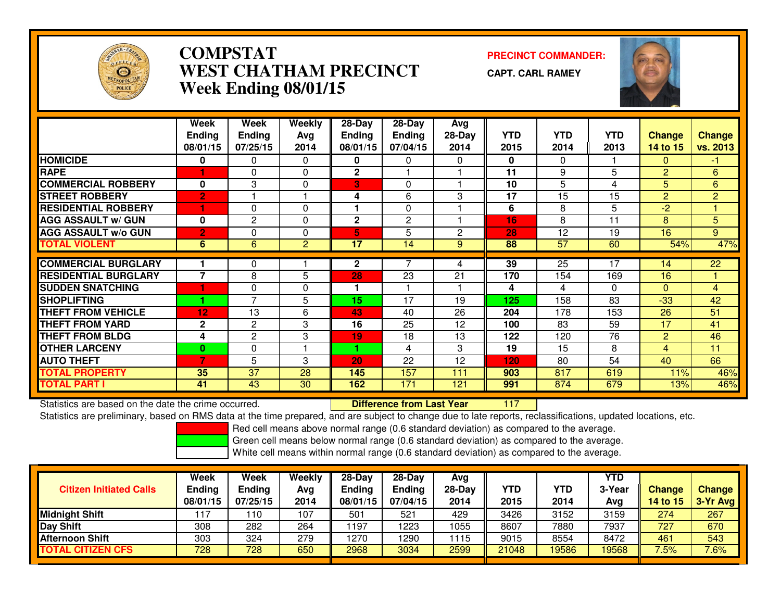

# **COMPSTAT PRECINCT COMMANDER: WEST CHATHAM PRECINCTWeek Ending 08/01/15**

**CAPT. CARL RAMEY**



|                             | Week           | Week           | <b>Weekly</b>  | 28-Day        | $28-Day$       | Avg      |      |            |            |                |                |
|-----------------------------|----------------|----------------|----------------|---------------|----------------|----------|------|------------|------------|----------------|----------------|
|                             | <b>Endina</b>  | <b>Ending</b>  | Avg            | <b>Ending</b> | <b>Ending</b>  | $28-Dav$ | YTD  | <b>YTD</b> | <b>YTD</b> | <b>Change</b>  | <b>Change</b>  |
|                             | 08/01/15       | 07/25/15       | 2014           | 08/01/15      | 07/04/15       | 2014     | 2015 | 2014       | 2013       | 14 to 15       | vs. 2013       |
| <b>HOMICIDE</b>             | 0              | 0              | $\Omega$       | 0             | 0              | $\Omega$ | 0    | $\Omega$   |            | $\Omega$       | $-1$           |
| <b>RAPE</b>                 |                | 0              | 0              | 2             |                |          | 11   | 9          | 5          | $\overline{2}$ | 6              |
| <b>COMMERCIAL ROBBERY</b>   | 0              | 3              | 0              | 3             | 0              |          | 10   | 5          | 4          | 5              | 6              |
| <b>STREET ROBBERY</b>       | $\overline{2}$ |                |                | 4             | 6              | 3        | 17   | 15         | 15         | $\overline{2}$ | $\overline{2}$ |
| <b>RESIDENTIAL ROBBERY</b>  |                | 0              | 0              |               | $\Omega$       |          | 6    | 8          | 5          | $-2$           |                |
| <b>AGG ASSAULT w/ GUN</b>   | $\bf{0}$       | $\mathbf{2}$   | $\mathbf{0}$   | $\mathbf{2}$  | $\overline{c}$ |          | 16   | 8          | 11         | 8              | 5              |
| <b>AGG ASSAULT w/o GUN</b>  | $\overline{2}$ | 0              | $\mathbf{0}$   | 5             | 5              | 2        | 28   | 12         | 19         | 16             | 9              |
| <b>TOTAL VIOLENT</b>        | 6              | 6              | $\overline{2}$ | 17            | 14             | 9        | 88   | 57         | 60         | 54%            | 47%            |
|                             |                |                |                |               |                |          |      |            |            |                |                |
| <b>COMMERCIAL BURGLARY</b>  |                | 0              |                | $\mathbf{2}$  |                | 4        | 39   | 25         | 17         | 14             | 22             |
| <b>RESIDENTIAL BURGLARY</b> | $\overline{7}$ | 8              | 5              | 28            | 23             | 21       | 170  | 154        | 169        | 16             |                |
| <b>SUDDEN SNATCHING</b>     |                | $\Omega$       | 0              |               |                |          | 4    | 4          | $\Omega$   | $\Omega$       | $\overline{4}$ |
| <b>SHOPLIFTING</b>          |                | 7              | 5              | 15            | 17             | 19       | 125  | 158        | 83         | $-33$          | 42             |
| <b>THEFT FROM VEHICLE</b>   | 12             | 13             | 6              | 43            | 40             | 26       | 204  | 178        | 153        | 26             | 51             |
| <b>THEFT FROM YARD</b>      | $\mathbf{2}$   | $\overline{2}$ | 3              | 16            | 25             | 12       | 100  | 83         | 59         | 17             | 41             |
| <b>THEFT FROM BLDG</b>      | 4              | $\overline{c}$ | 3              | 19            | 18             | 13       | 122  | 120        | 76         | $\overline{2}$ | 46             |
| <b>OTHER LARCENY</b>        | $\bf{0}$       | $\Omega$       |                |               | 4              | 3        | 19   | 15         | 8          | 4              | 11             |
| <b>AUTO THEFT</b>           |                | 5              | 3              | 20            | 22             | 12       | 120  | 80         | 54         | 40             | 66             |
| <b>TOTAL PROPERTY</b>       | 35             | 37             | 28             | 145           | 157            | 111      | 903  | 817        | 619        | 11%            | 46%            |
| <b>TOTAL PART I</b>         | 41             | 43             | 30             | 162           | 171            | 121      | 991  | 874        | 679        | 13%            | 46%            |

Statistics are based on the date the crime occurred. **Difference from Last Year** 

<sup>117</sup>

Statistics are preliminary, based on RMS data at the time prepared, and are subject to change due to late reports, reclassifications, updated locations, etc.

Red cell means above normal range (0.6 standard deviation) as compared to the average.

Green cell means below normal range (0.6 standard deviation) as compared to the average.

| <b>Citizen Initiated Calls</b> | Week<br><b>Ending</b><br>08/01/15 | Week<br><b>Ending</b><br>07/25/15 | Weekly<br>Avg<br>2014 | $28-Dav$<br><b>Ending</b><br>08/01/15 | $28-Dav$<br><b>Ending</b><br>07/04/15 | Avg<br>$28-Day$<br>2014 | YTD<br>2015 | YTD<br>2014 | YTD<br>3-Year<br>Avg | <b>Change</b><br><b>14 to 15</b> | <b>Change</b><br>$3-Yr$ Avg |
|--------------------------------|-----------------------------------|-----------------------------------|-----------------------|---------------------------------------|---------------------------------------|-------------------------|-------------|-------------|----------------------|----------------------------------|-----------------------------|
| <b>Midnight Shift</b>          | 17                                | :10                               | 107                   | 501                                   | 521                                   | 429                     | 3426        | 3152        | 3159                 | 274                              | 267                         |
| Day Shift                      | 308                               | 282                               | 264                   | 1197                                  | 223                                   | 1055                    | 8607        | 7880        | 7937                 | 727                              | 670                         |
| <b>Afternoon Shift</b>         | 303                               | 324                               | 279                   | 1270                                  | 290                                   | 1115                    | 9015        | 8554        | 8472                 | 461                              | 543                         |
| <b>TOTAL CITIZEN CFS</b>       | 728                               | 728                               | 650                   | 2968                                  | 3034                                  | 2599                    | 21048       | 9586        | 19568                | 7.5%                             | 7.6%                        |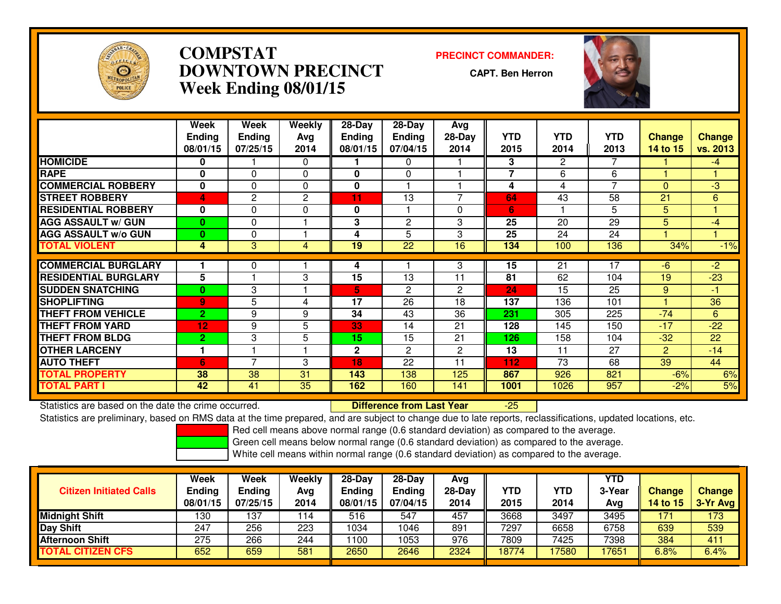

# **COMPSTAT PRECINCT COMMANDER: DOWNTOWN PRECINCTWeek Ending 08/01/15**

**CAPT. Ben Herron**

-25



|                             | Week<br><b>Ending</b> | Week<br><b>Ending</b> | Weekly<br>Avg | 28-Day<br>Ending | 28-Day<br><b>Ending</b> | Avg<br>$28-Day$ | <b>YTD</b>      | <b>YTD</b>           | <b>YTD</b>     | <b>Change</b>  | <b>Change</b> |
|-----------------------------|-----------------------|-----------------------|---------------|------------------|-------------------------|-----------------|-----------------|----------------------|----------------|----------------|---------------|
|                             | 08/01/15              | 07/25/15              | 2014          | 08/01/15         | 07/04/15                | 2014            | 2015            | 2014                 | 2013           | 14 to 15       | vs. 2013      |
| <b>HOMICIDE</b>             | 0                     |                       | 0             |                  | 0                       |                 | 3               | $\mathbf{2}^{\circ}$ | 7              |                | $-4$          |
| <b>RAPE</b>                 | $\mathbf{0}$          | $\Omega$              | $\Omega$      | $\bf{0}$         | $\Omega$                |                 | $\overline{7}$  | 6                    | 6              |                |               |
| <b>COMMERCIAL ROBBERY</b>   | $\mathbf 0$           | $\Omega$              | $\Omega$      | 0                |                         |                 | 4               | 4                    | $\overline{ }$ | $\Omega$       | $-3$          |
| <b>STREET ROBBERY</b>       | 4                     | $\mathbf{2}$          | 2             | 11               | 13                      |                 | 64              | 43                   | 58             | 21             | 6             |
| <b>RESIDENTIAL ROBBERY</b>  | 0                     | $\Omega$              | $\Omega$      | 0                |                         | $\Omega$        | 6               |                      | 5              | 5              |               |
| <b>AGG ASSAULT w/ GUN</b>   | $\bf{0}$              | $\Omega$              |               | 3                | $\mathbf{2}$            | 3               | $\overline{25}$ | 20                   | 29             | 5              | $-4$          |
| <b>AGG ASSAULT w/o GUN</b>  | $\bf{0}$              | $\Omega$              |               | 4                | 5                       | 3               | 25              | 24                   | 24             |                |               |
| <b>TOTAL VIOLENT</b>        | 4                     | 3                     | 4             | 19               | $\overline{22}$         | 16              | 134             | 100                  | 136            | 34%            | $-1%$         |
|                             |                       |                       |               |                  |                         |                 |                 |                      |                |                |               |
| <b>COMMERCIAL BURGLARY</b>  |                       | 0                     |               | 4                |                         | 3               | 15              | 21                   | 17             | -6             | $-2$          |
| <b>RESIDENTIAL BURGLARY</b> | 5                     |                       | 3             | 15               | 13                      | 11              | 81              | 62                   | 104            | 19             | $-23$         |
| <b>SUDDEN SNATCHING</b>     | $\bf{0}$              | 3                     |               | 5                | $\mathbf{2}$            | $\mathbf{2}$    | 24              | 15                   | 25             | 9              | $-1$          |
| <b>SHOPLIFTING</b>          | 9                     | 5                     | 4             | 17               | 26                      | 18              | 137             | 136                  | 101            |                | 36            |
| <b>THEFT FROM VEHICLE</b>   | $\overline{2}$        | 9                     | 9             | 34               | 43                      | 36              | 231             | 305                  | 225            | $-74$          | 6             |
| <b>THEFT FROM YARD</b>      | 12                    | 9                     | 5             | 33               | 14                      | 21              | 128             | 145                  | 150            | $-17$          | $-22$         |
| <b>THEFT FROM BLDG</b>      | $\overline{2}$        | 3                     | 5             | 15               | 15                      | 21              | 126             | 158                  | 104            | $-32$          | 22            |
| <b>OTHER LARCENY</b>        |                       |                       |               | $\mathbf{2}$     | $\mathbf{2}$            | 2               | 13              | 11                   | 27             | $\overline{2}$ | $-14$         |
| <b>AUTO THEFT</b>           | 6                     | ⇁                     | 3             | 18               | 22                      | 11              | 112             | 73                   | 68             | 39             | 44            |
| <b>TOTAL PROPERTY</b>       | 38                    | 38                    | 31            | 143              | 138                     | 125             | 867             | 926                  | 821            | $-6%$          | 6%            |
| TOTAL PART I                | 42                    | 41                    | 35            | 162              | 160                     | 141             | 1001            | 1026                 | 957            | $-2%$          | 5%            |

Statistics are based on the date the crime occurred. **Difference from Last Year** 

Statistics are preliminary, based on RMS data at the time prepared, and are subject to change due to late reports, reclassifications, updated locations, etc.

Red cell means above normal range (0.6 standard deviation) as compared to the average.

Green cell means below normal range (0.6 standard deviation) as compared to the average.

| <b>Citizen Initiated Calls</b> | Week<br><b>Ending</b><br>08/01/15 | Week<br><b>Ending</b><br>07/25/15 | Weekly<br>Avg<br>2014 | 28-Day<br><b>Ending</b><br>08/01/15 | 28-Dav<br><b>Ending</b><br>07/04/15 | Avg<br>$28-Day$<br>2014 | <b>YTD</b><br>2015 | YTD<br>2014 | YTD<br>3-Year<br>Avg | <b>Change</b><br><b>14 to 15</b> | Change<br>$3-Yr$ Avg |
|--------------------------------|-----------------------------------|-----------------------------------|-----------------------|-------------------------------------|-------------------------------------|-------------------------|--------------------|-------------|----------------------|----------------------------------|----------------------|
| <b>Midnight Shift</b>          | 130                               | 137                               | 114                   | 516                                 | 547                                 | 457                     | 3668               | 3497        | 3495                 | 171                              | 173                  |
| Day Shift                      | 247                               | 256                               | 223                   | 1034                                | 1046                                | 891                     | 7297               | 6658        | 6758                 | 639                              | 539                  |
| <b>Afternoon Shift</b>         | 275                               | 266                               | 244                   | 1100                                | 1053                                | 976                     | 7809               | 7425        | 7398                 | 384                              | 411                  |
| <b>TOTAL CITIZEN CFS</b>       | 652                               | 659                               | 581                   | 2650                                | 2646                                | 2324                    | 18774              | 7580        | 17651                | 6.8%                             | 6.4%                 |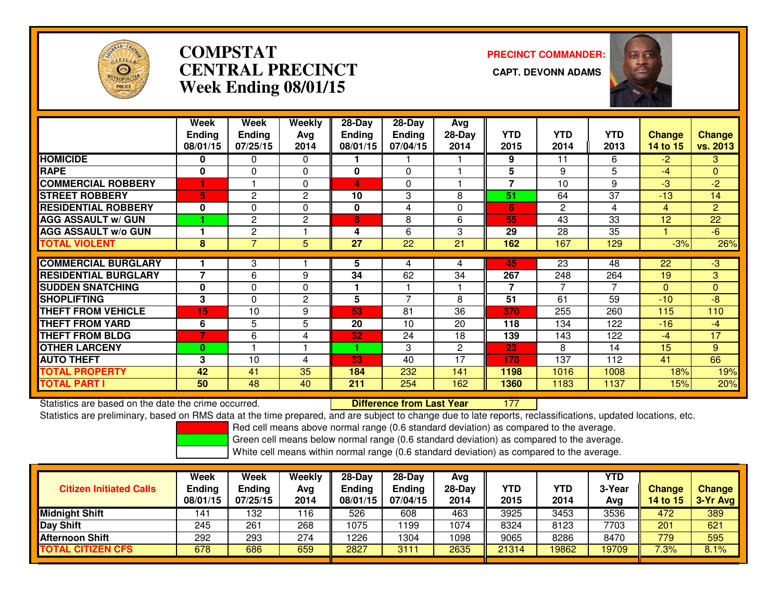

# **COMPSTATCENTRAL PRECINCT Week Ending 08/01/15**

**PRECINCT COMMANDER:**



|                             | Week<br><b>Ending</b><br>08/01/15 | Week<br><b>Ending</b><br>07/25/15 | Weekly<br>Ava<br>2014 | $28$ -Day<br><b>Ending</b><br>08/01/15 | $28$ -Day<br><b>Ending</b><br>07/04/15 | Avg<br>28-Day<br>2014 | <b>YTD</b><br>2015 | <b>YTD</b><br>2014 | <b>YTD</b><br>2013 | <b>Change</b><br>14 to 15 | Change<br>vs. 2013 |
|-----------------------------|-----------------------------------|-----------------------------------|-----------------------|----------------------------------------|----------------------------------------|-----------------------|--------------------|--------------------|--------------------|---------------------------|--------------------|
| <b>HOMICIDE</b>             | 0                                 | 0                                 | 0                     |                                        |                                        |                       | 9                  | 11                 | 6                  | $-2$                      | 3                  |
| <b>RAPE</b>                 | 0                                 | 0                                 | $\Omega$              | $\bf{0}$                               | $\Omega$                               |                       | 5                  | 9                  | 5                  | $-4$                      | $\Omega$           |
| <b>COMMERCIAL ROBBERY</b>   |                                   |                                   | $\mathbf{0}$          | 4                                      | $\Omega$                               |                       | $\overline{7}$     | 10                 | 9                  | $-3$                      | $-2$               |
| <b>STREET ROBBERY</b>       | 5                                 | 2                                 | 2                     | 10                                     | 3                                      | 8                     | 51                 | 64                 | 37                 | $-13$                     | 14                 |
| <b>RESIDENTIAL ROBBERY</b>  | $\bf{0}$                          | 0                                 | $\mathbf{0}$          | 0                                      | 4                                      | $\Omega$              | 6                  | $\mathbf{2}$       | 4                  | $\overline{4}$            | $\overline{2}$     |
| <b>AGG ASSAULT w/ GUN</b>   |                                   | 2                                 | 2                     | 8                                      | 8                                      | 6                     | 55                 | 43                 | 33                 | 12                        | 22                 |
| <b>AGG ASSAULT w/o GUN</b>  |                                   | 2                                 |                       | 4                                      | 6                                      | 3                     | 29                 | 28                 | 35                 |                           | $-6$               |
| <b>TOTAL VIOLENT</b>        | 8                                 | $\overline{\phantom{a}}$          | 5                     | 27                                     | 22                                     | 21                    | 162                | 167                | 129                | $-3%$                     | 26%                |
|                             |                                   |                                   |                       |                                        |                                        |                       |                    |                    |                    |                           |                    |
| <b>COMMERCIAL BURGLARY</b>  |                                   | 3                                 |                       | 5                                      | 4                                      | 4                     | 45                 | 23                 | 48                 | 22                        | $-3$               |
| <b>RESIDENTIAL BURGLARY</b> | $\overline{7}$                    | 6                                 | 9                     | 34                                     | 62                                     | 34                    | 267                | 248                | 264                | 19                        | 3                  |
| <b>SUDDEN SNATCHING</b>     | 0                                 | 0                                 | $\Omega$              |                                        |                                        |                       | 7                  | 7                  | 7                  | $\Omega$                  | $\mathbf{0}$       |
| <b>SHOPLIFTING</b>          | 3                                 | 0                                 | 2                     | 5                                      | $\overline{z}$                         | 8                     | 51                 | 61                 | 59                 | $-10$                     | -8                 |
| <b>THEFT FROM VEHICLE</b>   | 15                                | 10                                | 9                     | 53                                     | 81                                     | 36                    | 370                | 255                | 260                | 115                       | 110                |
| <b>THEFT FROM YARD</b>      | 6                                 | 5                                 | 5                     | 20                                     | 10                                     | 20                    | 118                | 134                | 122                | $-16$                     | -4                 |
| <b>THEFT FROM BLDG</b>      | 7                                 | 6                                 | 4                     | 32                                     | 24                                     | 18                    | 139                | 143                | 122                | $-4$                      | 17                 |
| <b>OTHER LARCENY</b>        | $\bf{0}$                          |                                   |                       | 4.                                     | 3                                      | $\overline{2}$        | 23                 | 8                  | 14                 | 15                        | 9                  |
| <b>AUTO THEFT</b>           | 3                                 | 10                                | 4                     | 33                                     | 40                                     | 17                    | 178                | 137                | 112                | 41                        | 66                 |
| <b>TOTAL PROPERTY</b>       | 42                                | 41                                | 35                    | 184                                    | 232                                    | 141                   | 1198               | 1016               | 1008               | 18%                       | 19%                |
| TOTAL PART I                | 50                                | 48                                | 40                    | 211                                    | 254                                    | 162                   | 1360               | 1183               | 1137               | 15%                       | 20%                |

Statistics are based on the date the crime occurred. **Difference from Last Year** 

<sup>177</sup>

Statistics are preliminary, based on RMS data at the time prepared, and are subject to change due to late reports, reclassifications, updated locations, etc.

Red cell means above normal range (0.6 standard deviation) as compared to the average.

Green cell means below normal range (0.6 standard deviation) as compared to the average.

| <b>Citizen Initiated Calls</b> | Week<br><b>Ending</b><br>08/01/15 | Week<br>Ending<br>07/25/15 | Weekly<br>Avg<br>2014 | $28-Dav$<br><b>Ending</b><br>08/01/15 | $28-Day$<br><b>Ending</b><br>07/04/15 | Avg<br>28-Day<br>2014 | YTD<br>2015 | <b>YTD</b><br>2014 | YTD<br>3-Year<br>Avg | <b>Change</b><br>14 to 15 | <b>Change</b><br>3-Yr Avg |
|--------------------------------|-----------------------------------|----------------------------|-----------------------|---------------------------------------|---------------------------------------|-----------------------|-------------|--------------------|----------------------|---------------------------|---------------------------|
| <b>Midnight Shift</b>          | 141                               | 32                         | 116                   | 526                                   | 608                                   | 463                   | 3925        | 3453               | 3536                 | 472                       | 389                       |
| <b>Day Shift</b>               | 245                               | 261                        | 268                   | 1075                                  | 1199                                  | 1074                  | 8324        | 8123               | 7703                 | 201                       | 621                       |
| Afternoon Shift                | 292                               | 293                        | 274                   | 1226                                  | 1304                                  | 1098                  | 9065        | 8286               | 8470                 | 779                       | 595                       |
| <b>TOTAL CITIZEN CFS</b>       | 678                               | 686                        | 659                   | 2827                                  | 311                                   | 2635                  | 21314       | 19862              | 19709                | 7.3%                      | 8.1%                      |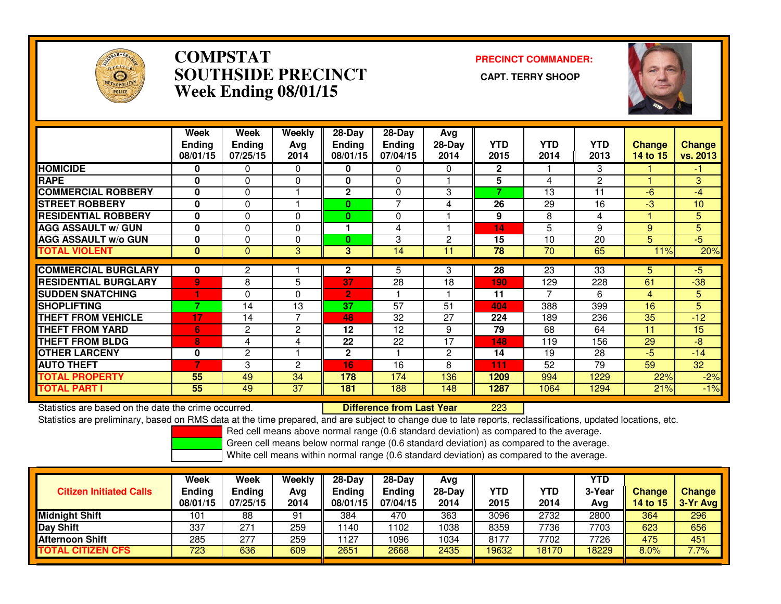

### **COMPSTAT PRECINCT COMMANDER: SOUTHSIDE PRECINCT CAPT. TERRY SHOOPWeek Ending 08/01/15**



|                             | Week<br><b>Ending</b><br>08/01/15 | Week<br><b>Ending</b><br>07/25/15 | Weekly<br>Avg<br>2014 | 28-Day<br><b>Ending</b><br>08/01/15 | $28-Day$<br><b>Ending</b><br>07/04/15 | Avg<br>$28-Day$<br>2014 | <b>YTD</b><br>2015       | <b>YTD</b><br>2014 | <b>YTD</b><br>2013 | <b>Change</b><br>14 to 15 | Change<br>vs. 2013 |
|-----------------------------|-----------------------------------|-----------------------------------|-----------------------|-------------------------------------|---------------------------------------|-------------------------|--------------------------|--------------------|--------------------|---------------------------|--------------------|
| <b>HOMICIDE</b>             | 0                                 | 0                                 | 0                     | 0                                   | 0                                     | 0                       | $\mathbf{2}$             |                    | 3                  |                           | -1.                |
| <b>RAPE</b>                 | $\mathbf{0}$                      | $\Omega$                          | $\Omega$              | $\mathbf{0}$                        | 0                                     |                         | 5                        | 4                  | $\overline{2}$     |                           | 3                  |
| <b>COMMERCIAL ROBBERY</b>   | $\bf{0}$                          | $\Omega$                          |                       | $\mathbf{2}$                        | $\Omega$                              | 3                       | $\overline{\phantom{a}}$ | 13                 | 11                 | $-6$                      | $-4$               |
| <b>STREET ROBBERY</b>       | $\mathbf{0}$                      | 0                                 |                       | 0                                   | 7                                     | 4                       | 26                       | 29                 | 16                 | $-3$                      | 10                 |
| <b>RESIDENTIAL ROBBERY</b>  | $\mathbf 0$                       | 0                                 | $\Omega$              | 0                                   | 0                                     |                         | 9                        | 8                  | 4                  |                           | 5                  |
| <b>AGG ASSAULT w/ GUN</b>   | $\bf{0}$                          | 0                                 | $\Omega$              | 1                                   | 4                                     |                         | 14                       | 5                  | 9                  | 9                         | 5                  |
| <b>AGG ASSAULT w/o GUN</b>  | $\mathbf{0}$                      | 0                                 | $\Omega$              | 0                                   | 3                                     | 2                       | 15                       | 10                 | 20                 | 5.                        | $-5$               |
| <b>TOTAL VIOLENT</b>        | $\bf{0}$                          | $\mathbf{0}$                      | 3                     | 3                                   | 14                                    | 11                      | 78                       | 70                 | 65                 | 11%                       | 20%                |
| <b>COMMERCIAL BURGLARY</b>  | 0                                 | 2                                 |                       | $\mathbf{2}$                        | 5                                     | 3                       | 28                       | 23                 | 33                 | 5.                        | $-5$               |
| <b>RESIDENTIAL BURGLARY</b> | 9                                 | 8                                 | 5                     | 37                                  | 28                                    | 18                      | 190                      | 129                | 228                | 61                        | $-38$              |
| <b>SUDDEN SNATCHING</b>     |                                   | 0                                 | 0                     | $\overline{2}$                      |                                       |                         | 11                       |                    | 6                  | 4                         | 5                  |
| <b>SHOPLIFTING</b>          | 7                                 | 14                                | 13                    | 37                                  | 57                                    | 51                      | 404                      | 388                | 399                | 16                        | 5                  |
| <b>THEFT FROM VEHICLE</b>   | 17                                | 14                                | $\overline{7}$        | 48                                  | 32                                    | 27                      | 224                      | 189                | 236                | 35                        | $-12$              |
|                             |                                   |                                   |                       |                                     |                                       |                         |                          | 68                 |                    | 11                        |                    |
| <b>THEFT FROM YARD</b>      | 6                                 | $\overline{2}$                    | 2                     | 12                                  | 12                                    | 9                       | 79                       |                    | 64                 |                           | 15                 |
| <b>THEFT FROM BLDG</b>      | 8                                 | 4                                 | 4                     | 22                                  | 22                                    | 17                      | 148                      | 119                | 156                | 29                        | -8                 |
| <b>OTHER LARCENY</b>        | $\bf{0}$                          | $\overline{2}$                    |                       | $\mathbf{2}$                        |                                       | 2                       | 14                       | 19                 | 28                 | $-5$                      | $-14$              |
| <b>AUTO THEFT</b>           | 7                                 | 3                                 | 2                     | 16                                  | 16                                    | 8                       | 111                      | 52                 | 79                 | 59                        | 32                 |
| TOTAL PROPERTY              | 55                                | 49                                | 34                    | 178                                 | 174                                   | 136                     | 1209                     | 994                | 1229               | 22%                       | $-2%$              |
| <b>TOTAL PART I</b>         | 55                                | 49                                | 37                    | 181                                 | 188                                   | 148                     | 1287                     | 1064               | 1294               | 21%                       | $-1%$              |

Statistics are based on the date the crime occurred. **Difference from Last Year** 

<sup>223</sup>

Statistics are preliminary, based on RMS data at the time prepared, and are subject to change due to late reports, reclassifications, updated locations, etc.

Red cell means above normal range (0.6 standard deviation) as compared to the average.

Green cell means below normal range (0.6 standard deviation) as compared to the average.

| <b>Citizen Initiated Calls</b> | <b>Week</b><br><b>Ending</b><br>08/01/15 | <b>Week</b><br><b>Ending</b><br>07/25/15 | Weekly<br>Avg<br>2014 | $28-Dav$<br><b>Ending</b><br>08/01/15 | $28-Dav$<br><b>Ending</b><br>07/04/15 | Ava<br>28-Dav<br>2014 | YTD<br>2015 | YTD<br>2014 | YTD<br>3-Year<br>Ava | <b>Change</b><br><b>14 to 15</b> | <b>Change</b><br>3-Yr Avg |
|--------------------------------|------------------------------------------|------------------------------------------|-----------------------|---------------------------------------|---------------------------------------|-----------------------|-------------|-------------|----------------------|----------------------------------|---------------------------|
| <b>Midnight Shift</b>          | 101                                      | 88                                       | 91                    | 384                                   | 470                                   | 363                   | 3096        | 2732        | 2800                 | 364                              | 296                       |
| <b>Day Shift</b>               | 337                                      | 271                                      | 259                   | 140                                   | 102                                   | 1038                  | 8359        | 7736        | 7703                 | 623                              | 656                       |
| <b>Afternoon Shift</b>         | 285                                      | 277                                      | 259                   | 127                                   | 1096                                  | 1034                  | 8177        | 7702        | 7726                 | 475                              | 451                       |
| <b>TOTAL CITIZEN CFS</b>       | 723                                      | 636                                      | 609                   | 2651                                  | 2668                                  | 2435                  | 19632       | 18170       | 18229                | 8.0%                             | 7.7%                      |